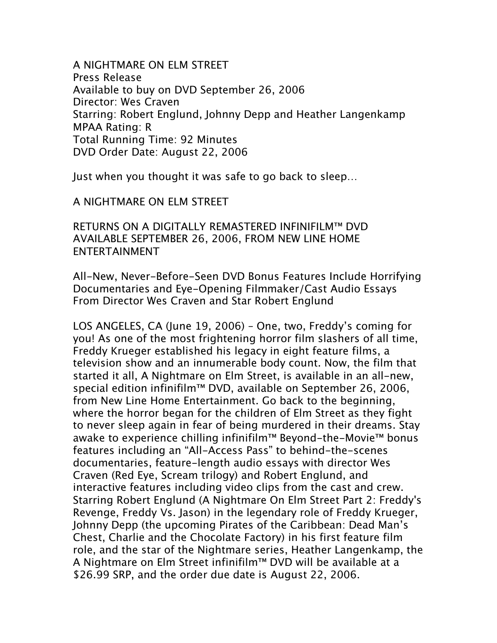A NIGHTMARE ON ELM STREET Press Release Available to buy on DVD September 26, 2006 Director: Wes Craven Starring: Robert Englund, Johnny Depp and Heather Langenkamp MPAA Rating: R Total Running Time: 92 Minutes DVD Order Date: August 22, 2006

Just when you thought it was safe to go back to sleep…

A NIGHTMARE ON ELM STREET

RETURNS ON A DIGITALLY REMASTERED INFINIFILM™ DVD AVAILABLE SEPTEMBER 26, 2006, FROM NEW LINE HOME ENTERTAINMENT

All-New, Never-Before-Seen DVD Bonus Features Include Horrifying Documentaries and Eye-Opening Filmmaker/Cast Audio Essays From Director Wes Craven and Star Robert Englund

LOS ANGELES, CA (June 19, 2006) – One, two, Freddy's coming for you! As one of the most frightening horror film slashers of all time, Freddy Krueger established his legacy in eight feature films, a television show and an innumerable body count. Now, the film that started it all, A Nightmare on Elm Street, is available in an all-new, special edition infinifilm™ DVD, available on September 26, 2006, from New Line Home Entertainment. Go back to the beginning, where the horror began for the children of Elm Street as they fight to never sleep again in fear of being murdered in their dreams. Stay awake to experience chilling infinifilm™ Beyond-the-Movie™ bonus features including an "All-Access Pass" to behind-the-scenes documentaries, feature-length audio essays with director Wes Craven (Red Eye, Scream trilogy) and Robert Englund, and interactive features including video clips from the cast and crew. Starring Robert Englund (A Nightmare On Elm Street Part 2: Freddy's Revenge, Freddy Vs. Jason) in the legendary role of Freddy Krueger, Johnny Depp (the upcoming Pirates of the Caribbean: Dead Man's Chest, Charlie and the Chocolate Factory) in his first feature film role, and the star of the Nightmare series, Heather Langenkamp, the A Nightmare on Elm Street infinifilm™ DVD will be available at a \$26.99 SRP, and the order due date is August 22, 2006.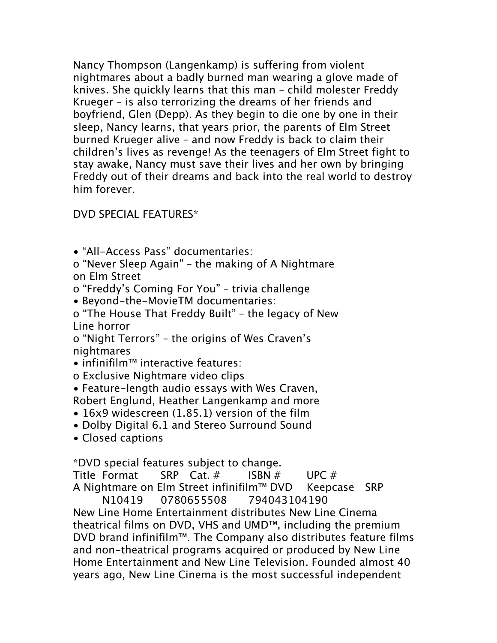Nancy Thompson (Langenkamp) is suffering from violent nightmares about a badly burned man wearing a glove made of knives. She quickly learns that this man – child molester Freddy Krueger – is also terrorizing the dreams of her friends and boyfriend, Glen (Depp). As they begin to die one by one in their sleep, Nancy learns, that years prior, the parents of Elm Street burned Krueger alive – and now Freddy is back to claim their children's lives as revenge! As the teenagers of Elm Street fight to stay awake, Nancy must save their lives and her own by bringing Freddy out of their dreams and back into the real world to destroy him forever.

## DVD SPECIAL FEATURES\*

• "All-Access Pass" documentaries:

o "Never Sleep Again" – the making of A Nightmare on Elm Street

o "Freddy's Coming For You" – trivia challenge

• Beyond-the-MovieTM documentaries:

o "The House That Freddy Built" – the legacy of New Line horror

o "Night Terrors" – the origins of Wes Craven's nightmares

• infinifilm™ interactive features:

o Exclusive Nightmare video clips

• Feature-length audio essays with Wes Craven, Robert Englund, Heather Langenkamp and more

• 16x9 widescreen (1.85.1) version of the film

• Dolby Digital 6.1 and Stereo Surround Sound

• Closed captions

\*DVD special features subject to change.

Title Format SRP Cat. # ISBN # UPC # A Nightmare on Elm Street infinifilm™ DVD Keepcase SRP N10419 0780655508 794043104190 New Line Home Entertainment distributes New Line Cinema theatrical films on DVD, VHS and UMD™, including the premium DVD brand infinifilm™. The Company also distributes feature films and non-theatrical programs acquired or produced by New Line Home Entertainment and New Line Television. Founded almost 40

years ago, New Line Cinema is the most successful independent